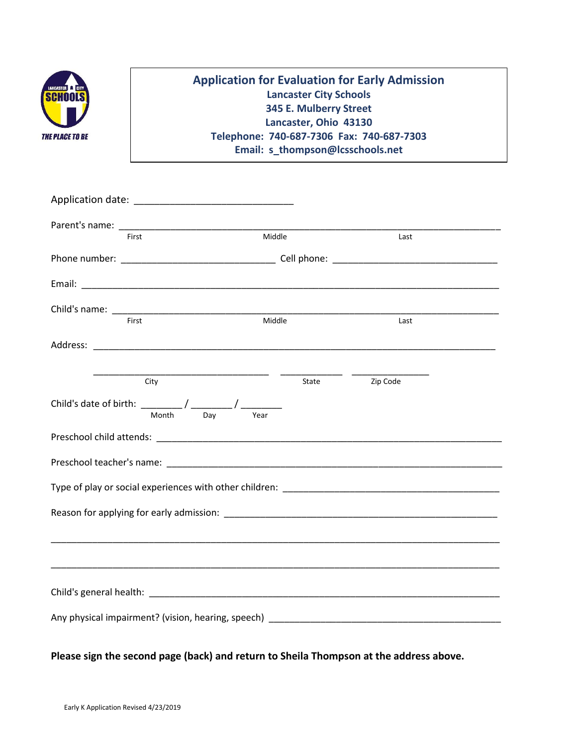

## **Application for Evaluation for Early Admission Lancaster City Schools 345 E. Mulberry Street Lancaster, Ohio 43130 Telephone: 740-687-7306 Fax: 740-687-7303 Email: s\_thompson@lcsschools.net**

|                                                                                                                                                                                                                                | First                                                                                                       | Middle |       | Last     |  |  |  |  |
|--------------------------------------------------------------------------------------------------------------------------------------------------------------------------------------------------------------------------------|-------------------------------------------------------------------------------------------------------------|--------|-------|----------|--|--|--|--|
|                                                                                                                                                                                                                                |                                                                                                             |        |       |          |  |  |  |  |
|                                                                                                                                                                                                                                |                                                                                                             |        |       |          |  |  |  |  |
|                                                                                                                                                                                                                                |                                                                                                             |        |       |          |  |  |  |  |
|                                                                                                                                                                                                                                | First                                                                                                       | Middle |       | Last     |  |  |  |  |
|                                                                                                                                                                                                                                |                                                                                                             |        |       |          |  |  |  |  |
|                                                                                                                                                                                                                                |                                                                                                             |        |       |          |  |  |  |  |
|                                                                                                                                                                                                                                | City                                                                                                        |        | State | Zip Code |  |  |  |  |
|                                                                                                                                                                                                                                | Child's date of birth: $\frac{1}{2\pi}$ / $\frac{1}{2\pi}$ / $\frac{1}{2\pi}$<br>Month <sup>-1</sup><br>Day | Year   |       |          |  |  |  |  |
|                                                                                                                                                                                                                                |                                                                                                             |        |       |          |  |  |  |  |
|                                                                                                                                                                                                                                |                                                                                                             |        |       |          |  |  |  |  |
|                                                                                                                                                                                                                                |                                                                                                             |        |       |          |  |  |  |  |
| Type of play or social experiences with other children: The contract of the contract of the contract of the contract of the contract of the contract of the contract of the contract of the contract of the contract of the co |                                                                                                             |        |       |          |  |  |  |  |
|                                                                                                                                                                                                                                |                                                                                                             |        |       |          |  |  |  |  |
|                                                                                                                                                                                                                                |                                                                                                             |        |       |          |  |  |  |  |
|                                                                                                                                                                                                                                |                                                                                                             |        |       |          |  |  |  |  |
|                                                                                                                                                                                                                                |                                                                                                             |        |       |          |  |  |  |  |
|                                                                                                                                                                                                                                |                                                                                                             |        |       |          |  |  |  |  |
|                                                                                                                                                                                                                                |                                                                                                             |        |       |          |  |  |  |  |
|                                                                                                                                                                                                                                |                                                                                                             |        |       |          |  |  |  |  |

**Please sign the second page (back) and return to Sheila Thompson at the address above.**